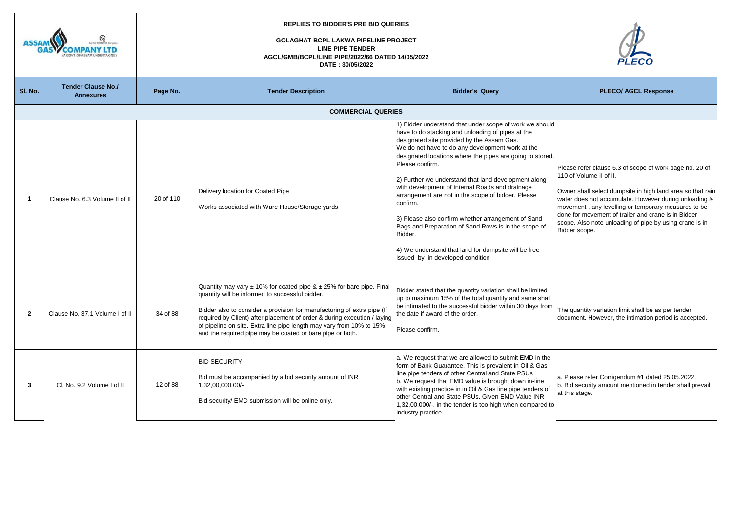|                |                                               | <b>REPLIES TO BIDDER'S PRE BID QUERIES</b><br><b>GOLAGHAT BCPL LAKWA PIPELINE PROJECT</b><br><b>LINE PIPE TENDER</b><br>AGCL/GMB/BCPL/LINE PIPE/2022/66 DATED 14/05/2022<br>DATE: 30/05/2022 |                                                                                                                                                                                                                                                                                                                                                                                                                             |                                                                                                                                                                                                                                                                                                                                                                                                                                                                                                                                                                                                                                                                                                  |                                                                                                                                                                                                                                                                                                                                                                                                     |
|----------------|-----------------------------------------------|----------------------------------------------------------------------------------------------------------------------------------------------------------------------------------------------|-----------------------------------------------------------------------------------------------------------------------------------------------------------------------------------------------------------------------------------------------------------------------------------------------------------------------------------------------------------------------------------------------------------------------------|--------------------------------------------------------------------------------------------------------------------------------------------------------------------------------------------------------------------------------------------------------------------------------------------------------------------------------------------------------------------------------------------------------------------------------------------------------------------------------------------------------------------------------------------------------------------------------------------------------------------------------------------------------------------------------------------------|-----------------------------------------------------------------------------------------------------------------------------------------------------------------------------------------------------------------------------------------------------------------------------------------------------------------------------------------------------------------------------------------------------|
| SI. No.        | <b>Tender Clause No./</b><br><b>Annexures</b> | Page No.                                                                                                                                                                                     | <b>Tender Description</b>                                                                                                                                                                                                                                                                                                                                                                                                   | <b>Bidder's Query</b>                                                                                                                                                                                                                                                                                                                                                                                                                                                                                                                                                                                                                                                                            | <b>PLECO/ AGCL Response</b>                                                                                                                                                                                                                                                                                                                                                                         |
|                |                                               |                                                                                                                                                                                              | <b>COMMERCIAL QUERIES</b>                                                                                                                                                                                                                                                                                                                                                                                                   |                                                                                                                                                                                                                                                                                                                                                                                                                                                                                                                                                                                                                                                                                                  |                                                                                                                                                                                                                                                                                                                                                                                                     |
| - 1            | Clause No. 6.3 Volume II of II                | 20 of 110                                                                                                                                                                                    | Delivery location for Coated Pipe<br>Works associated with Ware House/Storage yards                                                                                                                                                                                                                                                                                                                                         | 1) Bidder understand that under scope of work we should<br>have to do stacking and unloading of pipes at the<br>designated site provided by the Assam Gas.<br>We do not have to do any development work at the<br>designated locations where the pipes are going to stored.<br>Please confirm.<br>2) Further we understand that land development along<br>with development of Internal Roads and drainage<br>arrangement are not in the scope of bidder. Please<br>confirm.<br>3) Please also confirm whether arrangement of Sand<br>Bags and Preparation of Sand Rows is in the scope of<br>Bidder.<br>4) We understand that land for dumpsite will be free<br>issued by in developed condition | Please refer clause 6.3 of scope of work page no. 20 of<br>110 of Volume II of II.<br>Owner shall select dumpsite in high land area so that rain<br>water does not accumulate. However during unloading &<br>movement, any levelling or temporary measures to be<br>done for movement of trailer and crane is in Bidder<br>scope. Also note unloading of pipe by using crane is in<br>Bidder scope. |
| $\overline{2}$ | Clause No. 37.1 Volume I of II                | 34 of 88                                                                                                                                                                                     | Quantity may vary $\pm$ 10% for coated pipe & $\pm$ 25% for bare pipe. Final<br>quantity will be informed to successful bidder.<br>Bidder also to consider a provision for manufacturing of extra pipe (If<br>required by Client) after placement of order & during execution / laying<br>of pipeline on site. Extra line pipe length may vary from 10% to 15%<br>and the required pipe may be coated or bare pipe or both. | Bidder stated that the quantity variation shall be limited<br>up to maximum 15% of the total quantity and same shall<br>be intimated to the successful bidder within 30 days from<br>the date if award of the order.<br>Please confirm.                                                                                                                                                                                                                                                                                                                                                                                                                                                          | The quantity variation limit shall be as per tender<br>document. However, the intimation period is accepted.                                                                                                                                                                                                                                                                                        |
| 3              | Cl. No. 9.2 Volume I of II                    | 12 of 88                                                                                                                                                                                     | <b>BID SECURITY</b><br>Bid must be accompanied by a bid security amount of INR<br>1,32,00,000.00/-<br>Bid security/ EMD submission will be online only.                                                                                                                                                                                                                                                                     | a. We request that we are allowed to submit EMD in the<br>form of Bank Guarantee. This is prevalent in Oil & Gas<br>line pipe tenders of other Central and State PSUs<br>b. We request that EMD value is brought down in-line<br>with existing practice in in Oil & Gas line pipe tenders of<br>other Central and State PSUs. Given EMD Value INR<br>1,32,00,000/-. in the tender is too high when compared to<br>industry practice.                                                                                                                                                                                                                                                             | a. Please refer Corrigendum #1 dated 25.05.2022.<br>b. Bid security amount mentioned in tender shall prevail<br>at this stage.                                                                                                                                                                                                                                                                      |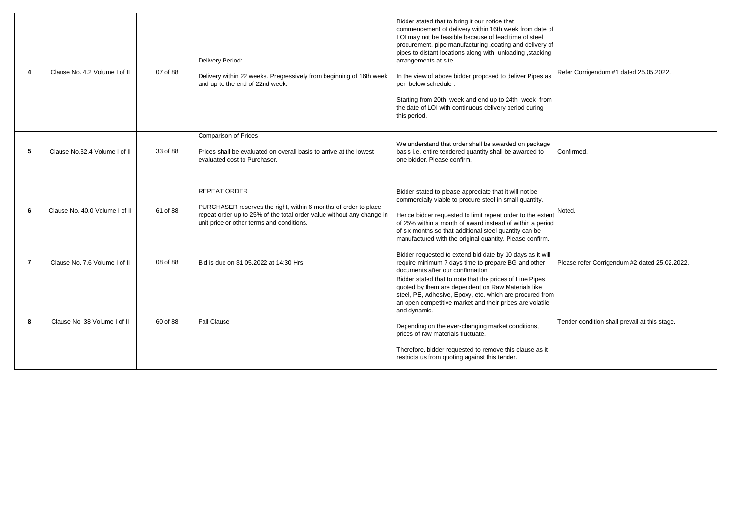| 4              | Clause No. 4.2 Volume I of II  | 07 of 88 | Delivery Period:<br>Delivery within 22 weeks. Pregressively from beginning of 16th week<br>and up to the end of 22nd week.                                                                                   | Bidder stated that to bring it our notice that<br>commencement of delivery within 16th week from date of<br>LOI may not be feasible because of lead time of steel<br>procurement, pipe manufacturing , coating and delivery of<br>pipes to distant locations along with unloading, stacking<br>arrangements at site<br>In the view of above bidder proposed to deliver Pipes as<br>per below schedule:<br>Starting from 20th week and end up to 24th week from<br>the date of LOI with continuous delivery period during<br>this period. | Refer Corrigendum #1 dated 25.05.2022.        |
|----------------|--------------------------------|----------|--------------------------------------------------------------------------------------------------------------------------------------------------------------------------------------------------------------|------------------------------------------------------------------------------------------------------------------------------------------------------------------------------------------------------------------------------------------------------------------------------------------------------------------------------------------------------------------------------------------------------------------------------------------------------------------------------------------------------------------------------------------|-----------------------------------------------|
| 5              | Clause No.32.4 Volume I of II  | 33 of 88 | <b>Comparison of Prices</b><br>Prices shall be evaluated on overall basis to arrive at the lowest<br>evaluated cost to Purchaser.                                                                            | We understand that order shall be awarded on package<br>basis i.e. entire tendered quantity shall be awarded to<br>one bidder. Please confirm.                                                                                                                                                                                                                                                                                                                                                                                           | Confirmed.                                    |
| 6              | Clause No. 40.0 Volume I of II | 61 of 88 | <b>REPEAT ORDER</b><br>PURCHASER reserves the right, within 6 months of order to place<br>repeat order up to 25% of the total order value without any change in<br>unit price or other terms and conditions. | Bidder stated to please appreciate that it will not be<br>commercially viable to procure steel in small quantity.<br>Hence bidder requested to limit repeat order to the extent<br>of 25% within a month of award instead of within a period<br>of six months so that additional steel quantity can be<br>manufactured with the original quantity. Please confirm.                                                                                                                                                                       | Noted.                                        |
| $\overline{7}$ | Clause No. 7.6 Volume I of II  | 08 of 88 | Bid is due on 31.05.2022 at 14:30 Hrs                                                                                                                                                                        | Bidder requested to extend bid date by 10 days as it will<br>require minimum 7 days time to prepare BG and other<br>documents after our confirmation.                                                                                                                                                                                                                                                                                                                                                                                    | Please refer Corrigendum #2 dated 25.02.2022. |
| 8              | Clause No. 38 Volume I of II   | 60 of 88 | <b>Fall Clause</b>                                                                                                                                                                                           | Bidder stated that to note that the prices of Line Pipes<br>quoted by them are dependent on Raw Materials like<br>steel, PE, Adhesive, Epoxy, etc. which are procured from<br>an open competitive market and their prices are volatile<br>and dynamic.<br>Depending on the ever-changing market conditions,<br>prices of raw materials fluctuate.<br>Therefore, bidder requested to remove this clause as it<br>restricts us from quoting against this tender.                                                                           | Tender condition shall prevail at this stage. |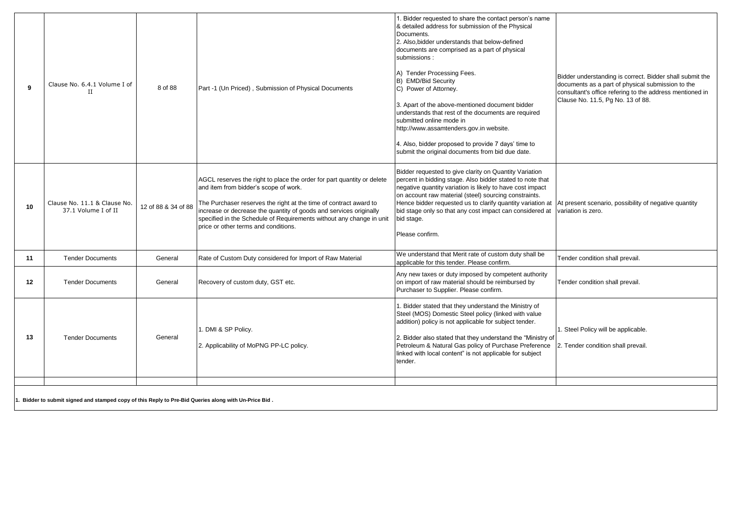| Bidder requested to give clarity on Quantity Variation<br>percent in bidding stage. Also bidder stated to note that<br>AGCL reserves the right to place the order for part quantity or delete<br>and item from bidder's scope of work.<br>negative quantity variation is likely to have cost impact<br>on account raw material (steel) sourcing constraints.<br>The Purchaser reserves the right at the time of contract award to<br>Hence bidder requested us to clarify quantity variation at  At present scenario, possibility of negative quantity<br>Clause No. 11.1 & Clause No.<br>12 of 88 & 34 of 88<br>10<br>37.1 Volume I of II<br>increase or decrease the quantity of goods and services originally<br>bid stage only so that any cost impact can considered at<br>variation is zero.<br>specified in the Schedule of Requirements without any change in unit<br>bid stage.<br>price or other terms and conditions.<br>Please confirm.<br>We understand that Merit rate of custom duty shall be<br><b>Tender Documents</b><br>Rate of Custom Duty considered for Import of Raw Material<br>11<br>General<br>Tender condition shall prevail.<br>applicable for this tender. Please confirm.<br>Any new taxes or duty imposed by competent authority<br>12<br><b>Tender Documents</b><br>Recovery of custom duty, GST etc.<br>on import of raw material should be reimbursed by<br>Tender condition shall prevail.<br>General<br>Purchaser to Supplier. Please confirm.<br>I. Bidder stated that they understand the Ministry of<br>Steel (MOS) Domestic Steel policy (linked with value<br>addition) policy is not applicable for subject tender.<br>1. Steel Policy will be applicable.<br>1. DMI & SP Policy.<br><b>Tender Documents</b><br>2. Bidder also stated that they understand the "Ministry of<br>13<br>General<br>Petroleum & Natural Gas policy of Purchase Preference<br>2. Applicability of MoPNG PP-LC policy.<br>2. Tender condition shall prevail.<br>linked with local content" is not applicable for subject<br>tender. | 9 | Clause No. 6.4.1 Volume I of<br>$_{\rm II}$ | 8 of 88 | Part -1 (Un Priced), Submission of Physical Documents | . Bidder requested to share the contact person's name<br>& detailed address for submission of the Physical<br>Documents.<br>2. Also bidder understands that below-defined<br>documents are comprised as a part of physical<br>submissions:<br>A) Tender Processing Fees.<br>B) EMD/Bid Security<br>C) Power of Attorney.<br>3. Apart of the above-mentioned document bidder<br>understands that rest of the documents are required<br>submitted online mode in<br>http://www.assamtenders.gov.in website.<br>4. Also, bidder proposed to provide 7 days' time to<br>submit the original documents from bid due date. | Bidder understanding is correct. Bidder shall submit the<br>documents as a part of physical submission to the<br>consultant's office refering to the address mentioned in<br>Clause No. 11.5, Pg No. 13 of 88. |
|---------------------------------------------------------------------------------------------------------------------------------------------------------------------------------------------------------------------------------------------------------------------------------------------------------------------------------------------------------------------------------------------------------------------------------------------------------------------------------------------------------------------------------------------------------------------------------------------------------------------------------------------------------------------------------------------------------------------------------------------------------------------------------------------------------------------------------------------------------------------------------------------------------------------------------------------------------------------------------------------------------------------------------------------------------------------------------------------------------------------------------------------------------------------------------------------------------------------------------------------------------------------------------------------------------------------------------------------------------------------------------------------------------------------------------------------------------------------------------------------------------------------------------------------------------------------------------------------------------------------------------------------------------------------------------------------------------------------------------------------------------------------------------------------------------------------------------------------------------------------------------------------------------------------------------------------------------------------------------------------------------------------------------------------------------|---|---------------------------------------------|---------|-------------------------------------------------------|----------------------------------------------------------------------------------------------------------------------------------------------------------------------------------------------------------------------------------------------------------------------------------------------------------------------------------------------------------------------------------------------------------------------------------------------------------------------------------------------------------------------------------------------------------------------------------------------------------------------|----------------------------------------------------------------------------------------------------------------------------------------------------------------------------------------------------------------|
|                                                                                                                                                                                                                                                                                                                                                                                                                                                                                                                                                                                                                                                                                                                                                                                                                                                                                                                                                                                                                                                                                                                                                                                                                                                                                                                                                                                                                                                                                                                                                                                                                                                                                                                                                                                                                                                                                                                                                                                                                                                         |   |                                             |         |                                                       |                                                                                                                                                                                                                                                                                                                                                                                                                                                                                                                                                                                                                      |                                                                                                                                                                                                                |
|                                                                                                                                                                                                                                                                                                                                                                                                                                                                                                                                                                                                                                                                                                                                                                                                                                                                                                                                                                                                                                                                                                                                                                                                                                                                                                                                                                                                                                                                                                                                                                                                                                                                                                                                                                                                                                                                                                                                                                                                                                                         |   |                                             |         |                                                       |                                                                                                                                                                                                                                                                                                                                                                                                                                                                                                                                                                                                                      |                                                                                                                                                                                                                |
|                                                                                                                                                                                                                                                                                                                                                                                                                                                                                                                                                                                                                                                                                                                                                                                                                                                                                                                                                                                                                                                                                                                                                                                                                                                                                                                                                                                                                                                                                                                                                                                                                                                                                                                                                                                                                                                                                                                                                                                                                                                         |   |                                             |         |                                                       |                                                                                                                                                                                                                                                                                                                                                                                                                                                                                                                                                                                                                      |                                                                                                                                                                                                                |
|                                                                                                                                                                                                                                                                                                                                                                                                                                                                                                                                                                                                                                                                                                                                                                                                                                                                                                                                                                                                                                                                                                                                                                                                                                                                                                                                                                                                                                                                                                                                                                                                                                                                                                                                                                                                                                                                                                                                                                                                                                                         |   |                                             |         |                                                       |                                                                                                                                                                                                                                                                                                                                                                                                                                                                                                                                                                                                                      |                                                                                                                                                                                                                |

**1. Bidder to submit signed and stamped copy of this Reply to Pre-Bid Queries along with Un-Price Bid .**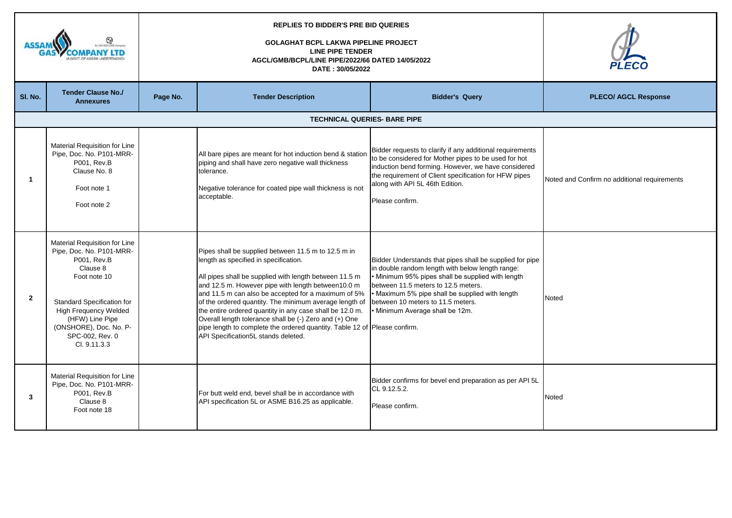|              |                                                                                                                                                                                                                                                    | <b>REPLIES TO BIDDER'S PRE BID QUERIES</b><br><b>GOLAGHAT BCPL LAKWA PIPELINE PROJECT</b><br><b>LINE PIPE TENDER</b><br>AGCL/GMB/BCPL/LINE PIPE/2022/66 DATED 14/05/2022<br>DATE: 30/05/2022 |                                                                                                                                                                                                                                                                                                                                                                                                                                                                                                                                                                         |                                                                                                                                                                                                                                                                                                                                     |                                              |
|--------------|----------------------------------------------------------------------------------------------------------------------------------------------------------------------------------------------------------------------------------------------------|----------------------------------------------------------------------------------------------------------------------------------------------------------------------------------------------|-------------------------------------------------------------------------------------------------------------------------------------------------------------------------------------------------------------------------------------------------------------------------------------------------------------------------------------------------------------------------------------------------------------------------------------------------------------------------------------------------------------------------------------------------------------------------|-------------------------------------------------------------------------------------------------------------------------------------------------------------------------------------------------------------------------------------------------------------------------------------------------------------------------------------|----------------------------------------------|
| SI. No.      | <b>Tender Clause No./</b><br><b>Annexures</b>                                                                                                                                                                                                      | Page No.                                                                                                                                                                                     | <b>Tender Description</b>                                                                                                                                                                                                                                                                                                                                                                                                                                                                                                                                               | <b>Bidder's Query</b>                                                                                                                                                                                                                                                                                                               | <b>PLECO/ AGCL Response</b>                  |
|              |                                                                                                                                                                                                                                                    |                                                                                                                                                                                              | <b>TECHNICAL QUERIES- BARE PIPE</b>                                                                                                                                                                                                                                                                                                                                                                                                                                                                                                                                     |                                                                                                                                                                                                                                                                                                                                     |                                              |
| -1           | Material Requisition for Line<br>Pipe, Doc. No. P101-MRR-<br>P001, Rev.B<br>Clause No. 8<br>Foot note 1<br>Foot note 2                                                                                                                             |                                                                                                                                                                                              | All bare pipes are meant for hot induction bend & station<br>piping and shall have zero negative wall thickness<br>tolerance.<br>Negative tolerance for coated pipe wall thickness is not<br>acceptable.                                                                                                                                                                                                                                                                                                                                                                | Bidder requests to clarify if any additional requirements<br>to be considered for Mother pipes to be used for hot<br>induction bend forming. However, we have considered<br>the requirement of Client specification for HFW pipes<br>along with API 5L 46th Edition.<br>Please confirm.                                             | Noted and Confirm no additional requirements |
| $\mathbf{2}$ | Material Requisition for Line<br>Pipe, Doc. No. P101-MRR-<br>P001, Rev.B<br>Clause 8<br>Foot note 10<br><b>Standard Specification for</b><br>High Frequency Welded<br>(HFW) Line Pipe<br>(ONSHORE), Doc. No. P-<br>SPC-002, Rev. 0<br>Cl. 9.11.3.3 |                                                                                                                                                                                              | Pipes shall be supplied between 11.5 m to 12.5 m in<br>length as specified in specification.<br>All pipes shall be supplied with length between 11.5 m<br>and 12.5 m. However pipe with length between10.0 m<br>and 11.5 m can also be accepted for a maximum of 5%<br>of the ordered quantity. The minimum average length of<br>the entire ordered quantity in any case shall be 12.0 m.<br>Overall length tolerance shall be (-) Zero and (+) One<br>pipe length to complete the ordered quantity. Table 12 of Please confirm.<br>API Specification5L stands deleted. | Bidder Understands that pipes shall be supplied for pipe<br>in double random length with below length range:<br>• Minimum 95% pipes shall be supplied with length<br>between 11.5 meters to 12.5 meters.<br>• Maximum 5% pipe shall be supplied with length<br>between 10 meters to 11.5 meters.<br>• Minimum Average shall be 12m. | Noted                                        |
| 3            | Material Requisition for Line<br>Pipe, Doc. No. P101-MRR-<br>P001, Rev.B<br>Clause 8<br>Foot note 18                                                                                                                                               |                                                                                                                                                                                              | For butt weld end, bevel shall be in accordance with<br>API specification 5L or ASME B16.25 as applicable.                                                                                                                                                                                                                                                                                                                                                                                                                                                              | Bidder confirms for bevel end preparation as per API 5L<br>CL 9.12.5.2.<br>Please confirm.                                                                                                                                                                                                                                          | Noted                                        |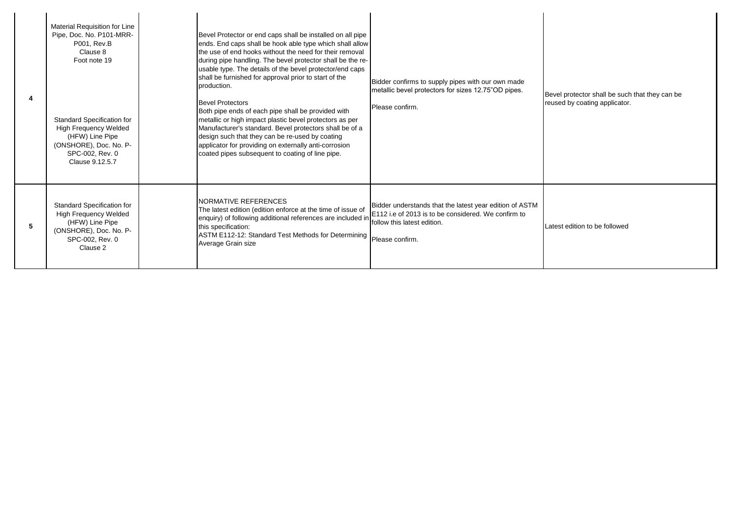| $\overline{4}$ | Material Requisition for Line<br>Pipe, Doc. No. P101-MRR-<br>P001, Rev.B<br>Clause 8<br>Foot note 19<br><b>Standard Specification for</b><br><b>High Frequency Welded</b><br>(HFW) Line Pipe<br>(ONSHORE), Doc. No. P-<br>SPC-002, Rev. 0<br>Clause 9.12.5.7 | Bevel Protector or end caps shall be installed on all pipe<br>ends. End caps shall be hook able type which shall allow<br>the use of end hooks without the need for their removal<br>during pipe handling. The bevel protector shall be the re-<br>usable type. The details of the bevel protector/end caps<br>shall be furnished for approval prior to start of the<br>production.<br><b>Bevel Protectors</b><br>Both pipe ends of each pipe shall be provided with<br>metallic or high impact plastic bevel protectors as per<br>Manufacturer's standard. Bevel protectors shall be of a<br>design such that they can be re-used by coating<br>applicator for providing on externally anti-corrosion<br>coated pipes subsequent to coating of line pipe. | Bidder confirms to supply pipes with our own made<br>metallic bevel protectors for sizes 12.75"OD pipes.<br>Please confirm.                   | Bevel protector shall be such that they can be<br>reused by coating applicator. |
|----------------|--------------------------------------------------------------------------------------------------------------------------------------------------------------------------------------------------------------------------------------------------------------|------------------------------------------------------------------------------------------------------------------------------------------------------------------------------------------------------------------------------------------------------------------------------------------------------------------------------------------------------------------------------------------------------------------------------------------------------------------------------------------------------------------------------------------------------------------------------------------------------------------------------------------------------------------------------------------------------------------------------------------------------------|-----------------------------------------------------------------------------------------------------------------------------------------------|---------------------------------------------------------------------------------|
| 5              | <b>Standard Specification for</b><br><b>High Frequency Welded</b><br>(HFW) Line Pipe<br>(ONSHORE), Doc. No. P-<br>SPC-002, Rev. 0<br>Clause 2                                                                                                                | NORMATIVE REFERENCES<br>The latest edition (edition enforce at the time of issue of<br>enquiry) of following additional references are included in<br>this specification:<br>This specificalism.<br>ASTM E112-12: Standard Test Methods for Determining   Please confirm.<br>Average Grain size                                                                                                                                                                                                                                                                                                                                                                                                                                                            | Bidder understands that the latest year edition of ASTM<br>E112 i.e of 2013 is to be considered. We confirm to<br>follow this latest edition. | Latest edition to be followed                                                   |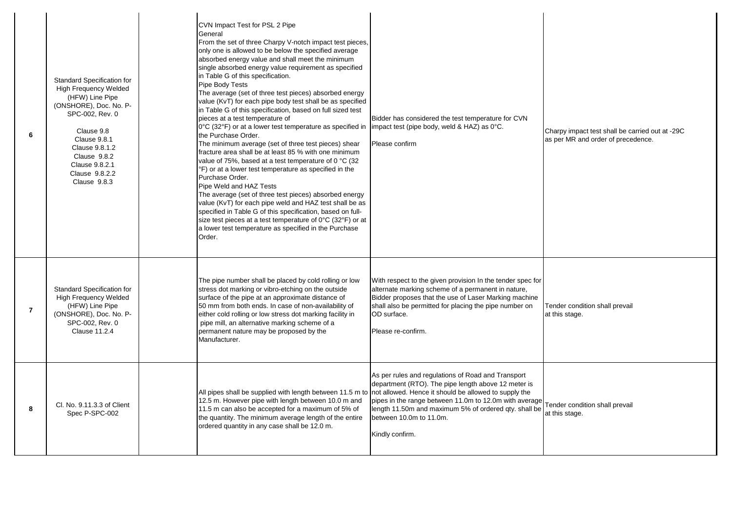| 6              | <b>Standard Specification for</b><br><b>High Frequency Welded</b><br>(HFW) Line Pipe<br>(ONSHORE), Doc. No. P-<br>SPC-002, Rev. 0<br>Clause 9.8<br>Clause 9.8.1<br>Clause 9.8.1.2<br>Clause 9.8.2<br>Clause 9.8.2.1<br>Clause 9.8.2.2<br>Clause 9.8.3 | CVN Impact Test for PSL 2 Pipe<br>General<br>From the set of three Charpy V-notch impact test pieces,<br>only one is allowed to be below the specified average<br>absorbed energy value and shall meet the minimum<br>single absorbed energy value requirement as specified<br>in Table G of this specification.<br>Pipe Body Tests<br>The average (set of three test pieces) absorbed energy<br>value (KvT) for each pipe body test shall be as specified<br>in Table G of this specification, based on full sized test<br>pieces at a test temperature of<br>0°C (32°F) or at a lower test temperature as specified in<br>the Purchase Order.<br>The minimum average (set of three test pieces) shear<br>fracture area shall be at least 85 % with one minimum<br>value of 75%, based at a test temperature of 0 °C (32<br>°F) or at a lower test temperature as specified in the<br>Purchase Order.<br>Pipe Weld and HAZ Tests<br>The average (set of three test pieces) absorbed energy<br>value (KvT) for each pipe weld and HAZ test shall be as<br>specified in Table G of this specification, based on full-<br>size test pieces at a test temperature of $0^{\circ}$ C (32 $^{\circ}$ F) or at<br>a lower test temperature as specified in the Purchase<br>Order. | Bidder has considered the test temperature for CVN<br>impact test (pipe body, weld & HAZ) as 0°C.<br>Please confirm                                                                                                                                                        | Charpy impact test shall be carried out at -29C<br>as per MR and order of precedence. |
|----------------|-------------------------------------------------------------------------------------------------------------------------------------------------------------------------------------------------------------------------------------------------------|----------------------------------------------------------------------------------------------------------------------------------------------------------------------------------------------------------------------------------------------------------------------------------------------------------------------------------------------------------------------------------------------------------------------------------------------------------------------------------------------------------------------------------------------------------------------------------------------------------------------------------------------------------------------------------------------------------------------------------------------------------------------------------------------------------------------------------------------------------------------------------------------------------------------------------------------------------------------------------------------------------------------------------------------------------------------------------------------------------------------------------------------------------------------------------------------------------------------------------------------------------------------------|----------------------------------------------------------------------------------------------------------------------------------------------------------------------------------------------------------------------------------------------------------------------------|---------------------------------------------------------------------------------------|
| $\overline{7}$ | Standard Specification for<br><b>High Frequency Welded</b><br>(HFW) Line Pipe<br>(ONSHORE), Doc. No. P-<br>SPC-002, Rev. 0<br><b>Clause 11.2.4</b>                                                                                                    | The pipe number shall be placed by cold rolling or low<br>stress dot marking or vibro-etching on the outside<br>surface of the pipe at an approximate distance of<br>50 mm from both ends. In case of non-availability of<br>either cold rolling or low stress dot marking facility in<br>pipe mill, an alternative marking scheme of a<br>permanent nature may be proposed by the<br>Manufacturer.                                                                                                                                                                                                                                                                                                                                                                                                                                                                                                                                                                                                                                                                                                                                                                                                                                                                        | With respect to the given provision In the tender spec for<br>alternate marking scheme of a permanent in nature,<br>Bidder proposes that the use of Laser Marking machine<br>shall also be permitted for placing the pipe number on<br>OD surface.<br>Please re-confirm.   | Tender condition shall prevail<br>at this stage.                                      |
| 8              | Cl. No. 9.11.3.3 of Client<br>Spec P-SPC-002                                                                                                                                                                                                          | All pipes shall be supplied with length between 11.5 m to not allowed. Hence it should be allowed to supply the<br>12.5 m. However pipe with length between 10.0 m and<br>11.5 m can also be accepted for a maximum of 5% of<br>the quantity. The minimum average length of the entire<br>ordered quantity in any case shall be 12.0 m.                                                                                                                                                                                                                                                                                                                                                                                                                                                                                                                                                                                                                                                                                                                                                                                                                                                                                                                                    | As per rules and regulations of Road and Transport<br>department (RTO). The pipe length above 12 meter is<br>pipes in the range between 11.0m to 12.0m with average<br>length 11.50m and maximum 5% of ordered qty. shall be<br>between 10.0m to 11.0m.<br>Kindly confirm. | Tender condition shall prevail<br>at this stage.                                      |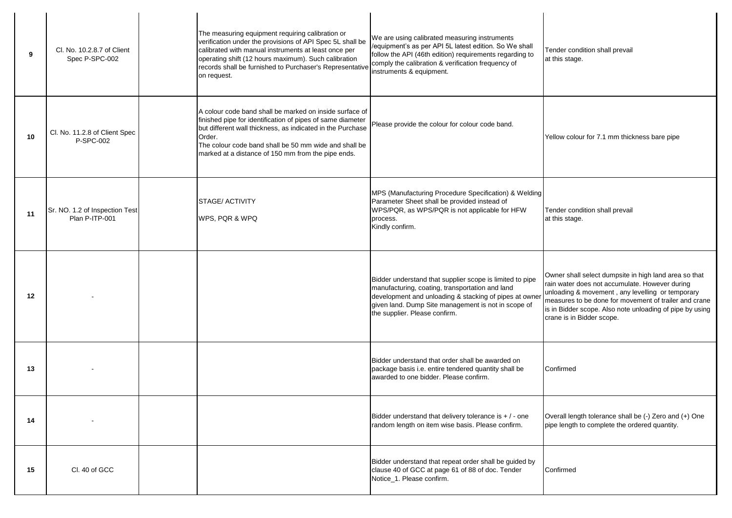| 9       | Cl. No. 10.2.8.7 of Client<br>Spec P-SPC-002     | The measuring equipment requiring calibration or<br>verification under the provisions of API Spec 5L shall be<br>calibrated with manual instruments at least once per<br>operating shift (12 hours maximum). Such calibration<br>records shall be furnished to Purchaser's Representative<br>on request.     | We are using calibrated measuring instruments<br>/equipment's as per API 5L latest edition. So We shall<br>follow the API (46th edition) requirements regarding to<br>comply the calibration & verification frequency of<br>instruments & equipment.          | Tender condition shall prevail<br>at this stage.                                                                                                                                                                                                                                                              |
|---------|--------------------------------------------------|--------------------------------------------------------------------------------------------------------------------------------------------------------------------------------------------------------------------------------------------------------------------------------------------------------------|---------------------------------------------------------------------------------------------------------------------------------------------------------------------------------------------------------------------------------------------------------------|---------------------------------------------------------------------------------------------------------------------------------------------------------------------------------------------------------------------------------------------------------------------------------------------------------------|
| 10      | Cl. No. 11.2.8 of Client Spec<br>P-SPC-002       | A colour code band shall be marked on inside surface of<br>finished pipe for identification of pipes of same diameter<br>but different wall thickness, as indicated in the Purchase<br>Order.<br>The colour code band shall be 50 mm wide and shall be<br>marked at a distance of 150 mm from the pipe ends. | Please provide the colour for colour code band.                                                                                                                                                                                                               | Yellow colour for 7.1 mm thickness bare pipe                                                                                                                                                                                                                                                                  |
| 11      | Sr. NO. 1.2 of Inspection Test<br>Plan P-ITP-001 | <b>STAGE/ ACTIVITY</b><br>WPS, PQR & WPQ                                                                                                                                                                                                                                                                     | MPS (Manufacturing Procedure Specification) & Welding<br>Parameter Sheet shall be provided instead of<br>WPS/PQR, as WPS/PQR is not applicable for HFW<br>process.<br>Kindly confirm.                                                                         | Tender condition shall prevail<br>at this stage.                                                                                                                                                                                                                                                              |
| $12 \,$ |                                                  |                                                                                                                                                                                                                                                                                                              | Bidder understand that supplier scope is limited to pipe<br>manufacturing, coating, transportation and land<br>development and unloading & stacking of pipes at owner<br>given land. Dump Site management is not in scope of<br>the supplier. Please confirm. | Owner shall select dumpsite in high land area so that<br>rain water does not accumulate. However during<br>unloading & movement, any levelling or temporary<br>measures to be done for movement of trailer and crane<br>is in Bidder scope. Also note unloading of pipe by using<br>crane is in Bidder scope. |
| 13      |                                                  |                                                                                                                                                                                                                                                                                                              | Bidder understand that order shall be awarded on<br>package basis i.e. entire tendered quantity shall be<br>awarded to one bidder. Please confirm.                                                                                                            | Confirmed                                                                                                                                                                                                                                                                                                     |
| 14      |                                                  |                                                                                                                                                                                                                                                                                                              | Bidder understand that delivery tolerance is $+/-$ one<br>random length on item wise basis. Please confirm.                                                                                                                                                   | Overall length tolerance shall be (-) Zero and (+) One<br>pipe length to complete the ordered quantity.                                                                                                                                                                                                       |
| 15      | Cl. 40 of GCC                                    |                                                                                                                                                                                                                                                                                                              | Bidder understand that repeat order shall be guided by<br>clause 40 of GCC at page 61 of 88 of doc. Tender<br>Notice_1. Please confirm.                                                                                                                       | Confirmed                                                                                                                                                                                                                                                                                                     |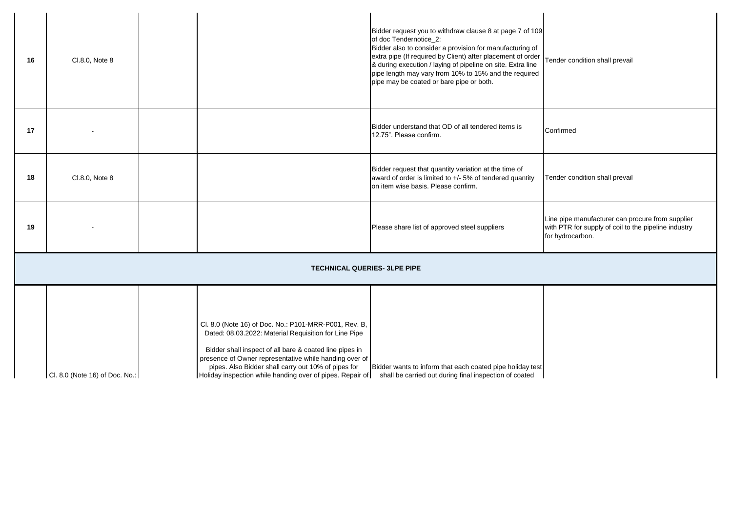| 16 | Cl.8.0, Note 8                 |                                                                                                                                                                                                                                                                                                                                                                                                                | Bidder request you to withdraw clause 8 at page 7 of 109<br>of doc Tendernotice_2:<br>Bidder also to consider a provision for manufacturing of<br>extra pipe (If required by Client) after placement of order<br>& during execution / laying of pipeline on site. Extra line<br>pipe length may vary from 10% to 15% and the required<br>pipe may be coated or bare pipe or both. | Tender condition shall prevail                                                                                               |
|----|--------------------------------|----------------------------------------------------------------------------------------------------------------------------------------------------------------------------------------------------------------------------------------------------------------------------------------------------------------------------------------------------------------------------------------------------------------|-----------------------------------------------------------------------------------------------------------------------------------------------------------------------------------------------------------------------------------------------------------------------------------------------------------------------------------------------------------------------------------|------------------------------------------------------------------------------------------------------------------------------|
| 17 |                                |                                                                                                                                                                                                                                                                                                                                                                                                                | Bidder understand that OD of all tendered items is<br>12.75". Please confirm.                                                                                                                                                                                                                                                                                                     | Confirmed                                                                                                                    |
| 18 | Cl.8.0, Note 8                 |                                                                                                                                                                                                                                                                                                                                                                                                                | Bidder request that quantity variation at the time of<br>award of order is limited to +/- 5% of tendered quantity<br>on item wise basis. Please confirm.                                                                                                                                                                                                                          | Tender condition shall prevail                                                                                               |
| 19 |                                |                                                                                                                                                                                                                                                                                                                                                                                                                | Please share list of approved steel suppliers                                                                                                                                                                                                                                                                                                                                     | Line pipe manufacturer can procure from supplier<br>with PTR for supply of coil to the pipeline industry<br>for hydrocarbon. |
|    |                                | <b>TECHNICAL QUERIES- 3LPE PIPE</b>                                                                                                                                                                                                                                                                                                                                                                            |                                                                                                                                                                                                                                                                                                                                                                                   |                                                                                                                              |
|    | CI. 8.0 (Note 16) of Doc. No.: | Cl. 8.0 (Note 16) of Doc. No.: P101-MRR-P001, Rev. B,<br>Dated: 08.03.2022: Material Requisition for Line Pipe<br>Bidder shall inspect of all bare & coated line pipes in<br>presence of Owner representative while handing over of<br>pipes. Also Bidder shall carry out 10% of pipes for<br>Holiday inspection while handing over of pipes. Repair of shall be carried out during final inspection of coated | Bidder wants to inform that each coated pipe holiday test                                                                                                                                                                                                                                                                                                                         |                                                                                                                              |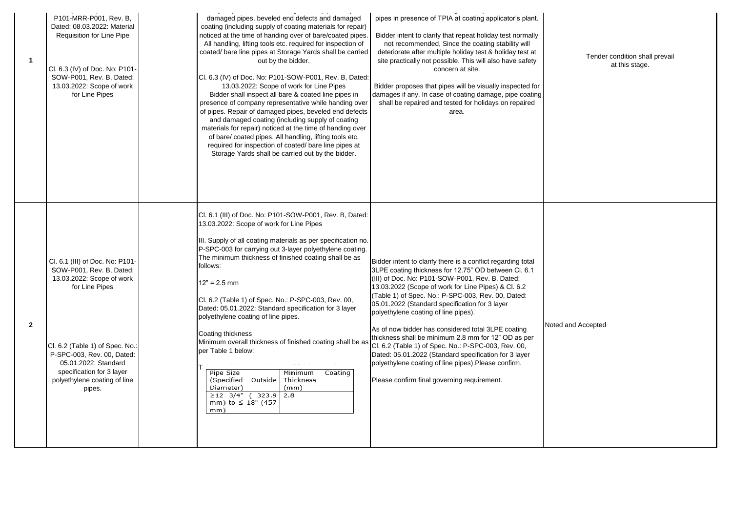| $\mathbf{1}$   | P101-MRR-P001, Rev. B,<br>Dated: 08.03.2022: Material<br><b>Requisition for Line Pipe</b><br>Cl. 6.3 (IV) of Doc. No: P101-<br>SOW-P001, Rev. B, Dated:<br>13.03.2022: Scope of work<br>for Line Pipes                                                                     | damaged pipes, beveled end defects and damaged<br>coating (including supply of coating materials for repair)<br>noticed at the time of handing over of bare/coated pipes.<br>All handling, lifting tools etc. required for inspection of<br>coated/ bare line pipes at Storage Yards shall be carried<br>out by the bidder.<br>Cl. 6.3 (IV) of Doc. No: P101-SOW-P001, Rev. B, Dated:<br>13.03.2022: Scope of work for Line Pipes<br>Bidder shall inspect all bare & coated line pipes in<br>presence of company representative while handing over<br>of pipes. Repair of damaged pipes, beveled end defects<br>and damaged coating (including supply of coating<br>materials for repair) noticed at the time of handing over<br>of bare/coated pipes. All handling, lifting tools etc.<br>required for inspection of coated/ bare line pipes at<br>Storage Yards shall be carried out by the bidder. | pipes in presence of TPIA at coating applicator's plant.<br>Bidder intent to clarify that repeat holiday test normally<br>not recommended, Since the coating stability will<br>deteriorate after multiple holiday test & holiday test at<br>site practically not possible. This will also have safety<br>concern at site.<br>Bidder proposes that pipes will be visually inspected for<br>damages if any. In case of coating damage, pipe coating<br>shall be repaired and tested for holidays on repaired<br>area.                                                                                                                                                                                                | Tender condition shall prevail<br>at this stage. |
|----------------|----------------------------------------------------------------------------------------------------------------------------------------------------------------------------------------------------------------------------------------------------------------------------|-------------------------------------------------------------------------------------------------------------------------------------------------------------------------------------------------------------------------------------------------------------------------------------------------------------------------------------------------------------------------------------------------------------------------------------------------------------------------------------------------------------------------------------------------------------------------------------------------------------------------------------------------------------------------------------------------------------------------------------------------------------------------------------------------------------------------------------------------------------------------------------------------------|--------------------------------------------------------------------------------------------------------------------------------------------------------------------------------------------------------------------------------------------------------------------------------------------------------------------------------------------------------------------------------------------------------------------------------------------------------------------------------------------------------------------------------------------------------------------------------------------------------------------------------------------------------------------------------------------------------------------|--------------------------------------------------|
| $\overline{2}$ | Cl. 6.1 (III) of Doc. No: P101-<br>SOW-P001, Rev. B, Dated:<br>13.03.2022: Scope of work<br>for Line Pipes<br>Cl. 6.2 (Table 1) of Spec. No.:<br>P-SPC-003, Rev. 00, Dated:<br>05.01.2022: Standard<br>specification for 3 layer<br>polyethylene coating of line<br>pipes. | Cl. 6.1 (III) of Doc. No: P101-SOW-P001, Rev. B, Dated:<br>13.03.2022: Scope of work for Line Pipes<br>III. Supply of all coating materials as per specification no.<br>P-SPC-003 for carrying out 3-layer polyethylene coating.<br>The minimum thickness of finished coating shall be as<br>follows:<br>$12" = 2.5$ mm<br>Cl. 6.2 (Table 1) of Spec. No.: P-SPC-003, Rev. 00,<br>Dated: 05.01.2022: Standard specification for 3 layer<br>polyethylene coating of line pipes.<br>Coating thickness<br>Minimum overall thickness of finished coating shall be as<br>per Table 1 below:<br>Minimum<br>Pipe Size<br>Coating<br>(Specified<br>Thickness<br>Outside  <br>Diameter)<br>(mm)<br>$\geq$ 12 3/4" (323.9 2.8<br>mm) to ≤ 18" (457<br>mm)                                                                                                                                                       | Bidder intent to clarify there is a conflict regarding total<br>3LPE coating thickness for 12.75" OD between Cl. 6.1<br>(III) of Doc. No: P101-SOW-P001, Rev. B, Dated:<br>13.03.2022 (Scope of work for Line Pipes) & Cl. 6.2<br>(Table 1) of Spec. No.: P-SPC-003, Rev. 00, Dated:<br>05.01.2022 (Standard specification for 3 layer<br>polyethylene coating of line pipes).<br>As of now bidder has considered total 3LPE coating<br>thickness shall be minimum 2.8 mm for 12" OD as per<br>Cl. 6.2 (Table 1) of Spec. No.: P-SPC-003, Rev. 00,<br>Dated: 05.01.2022 (Standard specification for 3 layer<br>polyethylene coating of line pipes). Please confirm.<br>Please confirm final governing requirement. | Noted and Accepted                               |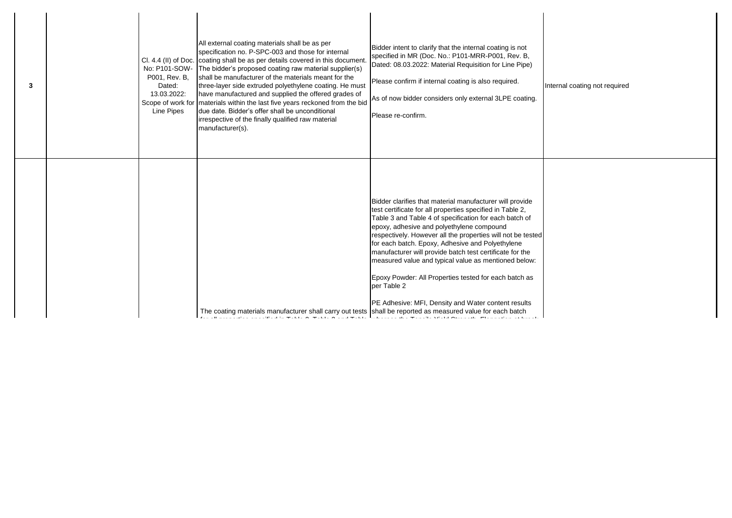| 3 | P001, Rev. B.<br>Dated:<br>13.03.2022:<br>Line Pipes | All external coating materials shall be as per<br>specification no. P-SPC-003 and those for internal<br>Cl. 4.4 (II) of Doc. coating shall be as per details covered in this document.<br>No: P101-SOW- The bidder's proposed coating raw material supplier(s)<br>shall be manufacturer of the materials meant for the<br>three-layer side extruded polyethylene coating. He must<br>have manufactured and supplied the offered grades of<br>Scope of work for   materials within the last five years reckoned from the bid<br>due date. Bidder's offer shall be unconditional<br>irrespective of the finally qualified raw material<br>manufacturer(s). | Bidder intent to clarify that the internal coating is not<br>specified in MR (Doc. No.: P101-MRR-P001, Rev. B,<br>Dated: 08.03.2022: Material Requisition for Line Pipe)<br>Please confirm if internal coating is also required.<br>As of now bidder considers only external 3LPE coating.<br>Please re-confirm.                                                                                                                                                                                                                                                                                   | Internal coating not required |
|---|------------------------------------------------------|----------------------------------------------------------------------------------------------------------------------------------------------------------------------------------------------------------------------------------------------------------------------------------------------------------------------------------------------------------------------------------------------------------------------------------------------------------------------------------------------------------------------------------------------------------------------------------------------------------------------------------------------------------|----------------------------------------------------------------------------------------------------------------------------------------------------------------------------------------------------------------------------------------------------------------------------------------------------------------------------------------------------------------------------------------------------------------------------------------------------------------------------------------------------------------------------------------------------------------------------------------------------|-------------------------------|
|   |                                                      | The coating materials manufacturer shall carry out tests shall be reported as measured value for each batch                                                                                                                                                                                                                                                                                                                                                                                                                                                                                                                                              | Bidder clarifies that material manufacturer will provide<br>test certificate for all properties specified in Table 2,<br>Table 3 and Table 4 of specification for each batch of<br>epoxy, adhesive and polyethylene compound<br>respectively. However all the properties will not be tested<br>for each batch. Epoxy, Adhesive and Polyethylene<br>manufacturer will provide batch test certificate for the<br>measured value and typical value as mentioned below:<br>Epoxy Powder: All Properties tested for each batch as<br>per Table 2<br>PE Adhesive: MFI, Density and Water content results |                               |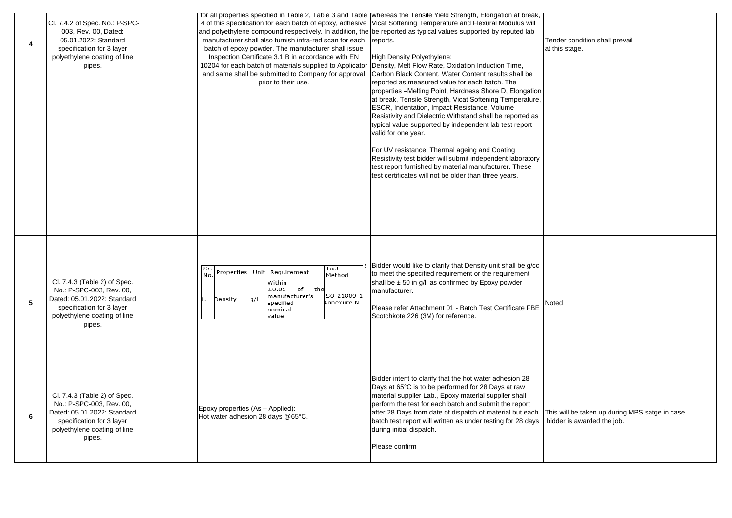| 4 | Cl. 7.4.2 of Spec. No.: P-SPC-<br>003, Rev. 00, Dated:<br>05.01.2022: Standard<br>specification for 3 layer<br>polyethylene coating of line<br>pipes.          | 4 of this specification for each batch of epoxy, adhesive Vicat Softening Temperature and Flexural Modulus will<br>and polyethylene compound respectively. In addition, the be reported as typical values supported by reputed lab<br>manufacturer shall also furnish infra-red scan for each<br>batch of epoxy powder. The manufacturer shall issue<br>Inspection Certificate 3.1 B in accordance with EN<br>10204 for each batch of materials supplied to Applicator<br>and same shall be submitted to Company for approval<br>prior to their use. | for all properties specified in 1able 2, 1able 3 and 1able  whereas the 1ensile Yield Strength, Elongation at break,<br>reports.<br>High Density Polyethylene:<br>Density, Melt Flow Rate, Oxidation Induction Time,<br>Carbon Black Content, Water Content results shall be<br>reported as measured value for each batch. The<br>properties - Melting Point, Hardness Shore D, Elongation<br>at break, Tensile Strength, Vicat Softening Temperature,<br>ESCR, Indentation, Impact Resistance, Volume<br>Resistivity and Dielectric Withstand shall be reported as<br>typical value supported by independent lab test report<br>valid for one year.<br>For UV resistance, Thermal ageing and Coating<br>Resistivity test bidder will submit independent laboratory<br>test report furnished by material manufacturer. These<br>test certificates will not be older than three years. | Tender condition shall prevail<br>at this stage.                             |
|---|----------------------------------------------------------------------------------------------------------------------------------------------------------------|------------------------------------------------------------------------------------------------------------------------------------------------------------------------------------------------------------------------------------------------------------------------------------------------------------------------------------------------------------------------------------------------------------------------------------------------------------------------------------------------------------------------------------------------------|---------------------------------------------------------------------------------------------------------------------------------------------------------------------------------------------------------------------------------------------------------------------------------------------------------------------------------------------------------------------------------------------------------------------------------------------------------------------------------------------------------------------------------------------------------------------------------------------------------------------------------------------------------------------------------------------------------------------------------------------------------------------------------------------------------------------------------------------------------------------------------------|------------------------------------------------------------------------------|
| 5 | Cl. 7.4.3 (Table 2) of Spec.<br>No.: P-SPC-003, Rev. 00,<br>Dated: 05.01.2022: Standard<br>specification for 3 layer<br>polyethylene coating of line<br>pipes. | Test<br>Sr.<br>Properties Unit Requirement<br>Method<br>No.<br>Within<br>±0.05<br>of<br>the<br>ISO 21809-1<br>manufacturer's<br>Density<br>Annexure N<br>specified<br>hominal<br>value                                                                                                                                                                                                                                                                                                                                                               | Bidder would like to clarify that Density unit shall be g/cc<br>to meet the specified requirement or the requirement<br>shall be $\pm$ 50 in g/l, as confirmed by Epoxy powder<br>manufacturer.<br>Please refer Attachment 01 - Batch Test Certificate FBE<br>Scotchkote 226 (3M) for reference.                                                                                                                                                                                                                                                                                                                                                                                                                                                                                                                                                                                      | Noted                                                                        |
| 6 | Cl. 7.4.3 (Table 2) of Spec.<br>No.: P-SPC-003, Rev. 00,<br>Dated: 05.01.2022: Standard<br>specification for 3 layer<br>polyethylene coating of line<br>pipes. | Epoxy properties (As - Applied):<br>Hot water adhesion 28 days @65°C.                                                                                                                                                                                                                                                                                                                                                                                                                                                                                | Bidder intent to clarify that the hot water adhesion 28<br>Days at 65°C is to be performed for 28 Days at raw<br>material supplier Lab., Epoxy material supplier shall<br>perform the test for each batch and submit the report<br>after 28 Days from date of dispatch of material but each<br>batch test report will written as under testing for 28 days<br>during initial dispatch.<br>Please confirm                                                                                                                                                                                                                                                                                                                                                                                                                                                                              | This will be taken up during MPS satge in case<br>bidder is awarded the job. |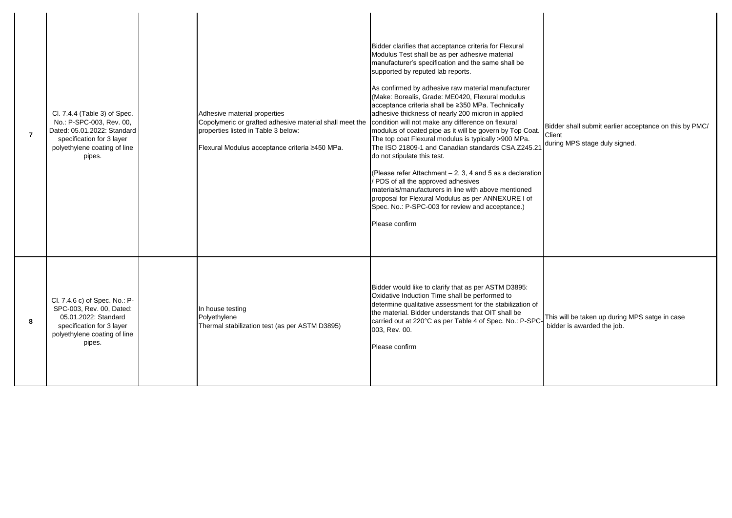| $\overline{7}$ | Cl. 7.4.4 (Table 3) of Spec.<br>No.: P-SPC-003, Rev. 00,<br>Dated: 05.01.2022: Standard<br>specification for 3 layer<br>polyethylene coating of line<br>pipes. | Adhesive material properties<br>Copolymeric or grafted adhesive material shall meet the<br>properties listed in Table 3 below:<br>Flexural Modulus acceptance criteria ≥450 MPa. | Bidder clarifies that acceptance criteria for Flexural<br>Modulus Test shall be as per adhesive material<br>manufacturer's specification and the same shall be<br>supported by reputed lab reports.<br>As confirmed by adhesive raw material manufacturer<br>(Make: Borealis, Grade: ME0420, Flexural modulus<br>acceptance criteria shall be ≥350 MPa. Technically<br>adhesive thickness of nearly 200 micron in applied<br>condition will not make any difference on flexural<br>modulus of coated pipe as it will be govern by Top Coat.<br>The top coat Flexural modulus is typically >900 MPa.<br>The ISO 21809-1 and Canadian standards CSA.Z245.21<br>do not stipulate this test.<br>(Please refer Attachment - 2, 3, 4 and 5 as a declaration<br>/ PDS of all the approved adhesives<br>materials/manufacturers in line with above mentioned<br>proposal for Flexural Modulus as per ANNEXURE I of<br>Spec. No.: P-SPC-003 for review and acceptance.)<br>Please confirm | Bidder shall submit earlier acceptance on this by PMC/<br>Client<br>during MPS stage duly signed. |
|----------------|----------------------------------------------------------------------------------------------------------------------------------------------------------------|----------------------------------------------------------------------------------------------------------------------------------------------------------------------------------|----------------------------------------------------------------------------------------------------------------------------------------------------------------------------------------------------------------------------------------------------------------------------------------------------------------------------------------------------------------------------------------------------------------------------------------------------------------------------------------------------------------------------------------------------------------------------------------------------------------------------------------------------------------------------------------------------------------------------------------------------------------------------------------------------------------------------------------------------------------------------------------------------------------------------------------------------------------------------------|---------------------------------------------------------------------------------------------------|
| 8              | Cl. 7.4.6 c) of Spec. No.: P-<br>SPC-003, Rev. 00, Dated:<br>05.01.2022: Standard<br>specification for 3 layer<br>polyethylene coating of line<br>pipes.       | In house testing<br>Polyethylene<br>Thermal stabilization test (as per ASTM D3895)                                                                                               | Bidder would like to clarify that as per ASTM D3895:<br>Oxidative Induction Time shall be performed to<br>determine qualitative assessment for the stabilization of<br>the material. Bidder understands that OIT shall be<br>carried out at 220°C as per Table 4 of Spec. No.: P-SPC-<br>003, Rev. 00.<br>Please confirm                                                                                                                                                                                                                                                                                                                                                                                                                                                                                                                                                                                                                                                         | This will be taken up during MPS satge in case<br>bidder is awarded the job.                      |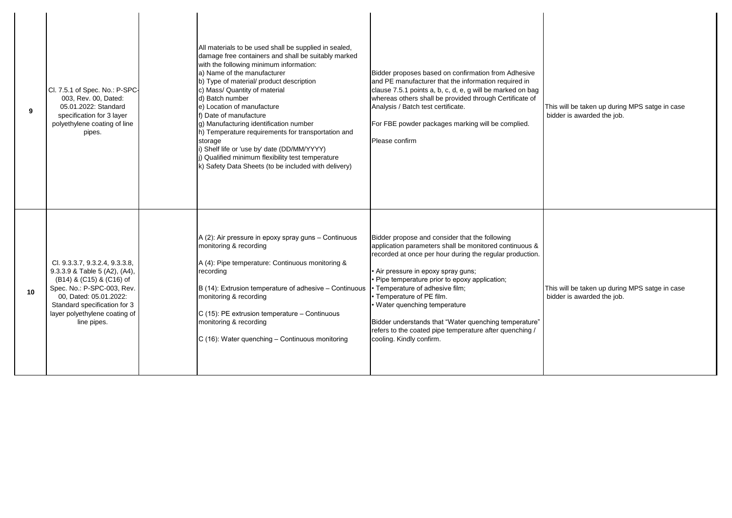| 9  | Cl. 7.5.1 of Spec. No.: P-SPC-<br>003, Rev. 00, Dated:<br>05.01.2022: Standard<br>specification for 3 layer<br>polyethylene coating of line<br>pipes.                                                                               | All materials to be used shall be supplied in sealed,<br>damage free containers and shall be suitably marked<br>with the following minimum information:<br>a) Name of the manufacturer<br>b) Type of material/ product description<br>c) Mass/ Quantity of material<br>d) Batch number<br>e) Location of manufacture<br>f) Date of manufacture<br>g) Manufacturing identification number<br>h) Temperature requirements for transportation and<br>storage<br>i) Shelf life or 'use by' date (DD/MM/YYYY)<br>j) Qualified minimum flexibility test temperature<br>k) Safety Data Sheets (to be included with delivery) | Bidder proposes based on confirmation from Adhesive<br>and PE manufacturer that the information required in<br>clause 7.5.1 points a, b, c, d, e, g will be marked on bag<br>whereas others shall be provided through Certificate of<br>Analysis / Batch test certificate.<br>For FBE powder packages marking will be complied.<br>Please confirm                                                                                                                                                            | This will be taken up during MPS satge in case<br>bidder is awarded the job. |
|----|-------------------------------------------------------------------------------------------------------------------------------------------------------------------------------------------------------------------------------------|-----------------------------------------------------------------------------------------------------------------------------------------------------------------------------------------------------------------------------------------------------------------------------------------------------------------------------------------------------------------------------------------------------------------------------------------------------------------------------------------------------------------------------------------------------------------------------------------------------------------------|--------------------------------------------------------------------------------------------------------------------------------------------------------------------------------------------------------------------------------------------------------------------------------------------------------------------------------------------------------------------------------------------------------------------------------------------------------------------------------------------------------------|------------------------------------------------------------------------------|
| 10 | Cl. 9.3.3.7, 9.3.2.4, 9.3.3.8,<br>9.3.3.9 & Table 5 (A2), (A4),<br>(B14) & (C15) & (C16) of<br>Spec. No.: P-SPC-003, Rev.<br>00, Dated: 05.01.2022:<br>Standard specification for 3<br>layer polyethylene coating of<br>line pipes. | $A(2)$ : Air pressure in epoxy spray guns – Continuous<br>monitoring & recording<br>A (4): Pipe temperature: Continuous monitoring &<br>recording<br>$B(14)$ : Extrusion temperature of adhesive - Continuous<br>monitoring & recording<br>C (15): PE extrusion temperature - Continuous<br>monitoring & recording<br>C (16): Water quenching - Continuous monitoring                                                                                                                                                                                                                                                 | Bidder propose and consider that the following<br>application parameters shall be monitored continuous &<br>recorded at once per hour during the regular production.<br>Air pressure in epoxy spray guns;<br>· Pipe temperature prior to epoxy application;<br>• Temperature of adhesive film;<br>• Temperature of PE film.<br>• Water quenching temperature<br>Bidder understands that "Water quenching temperature"<br>refers to the coated pipe temperature after quenching /<br>cooling. Kindly confirm. | This will be taken up during MPS satge in case<br>bidder is awarded the job. |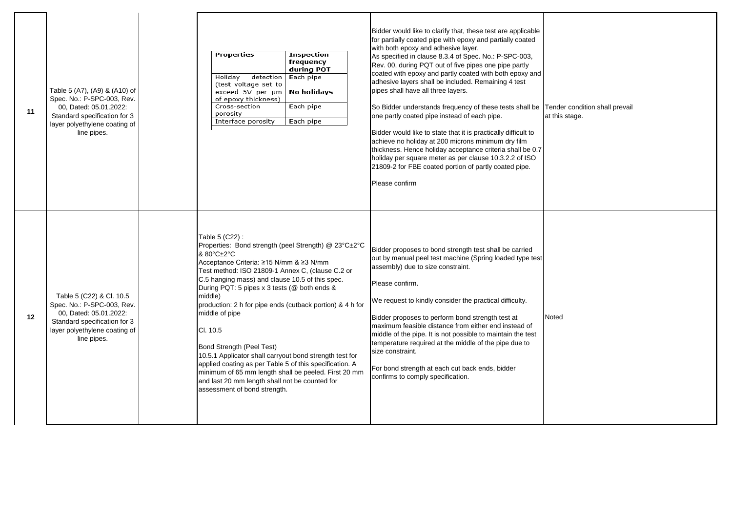| 11 | Table 5 (A7), (A9) & (A10) of<br>Spec. No.: P-SPC-003, Rev.<br>00, Dated: 05.01.2022:<br>Standard specification for 3<br>layer polyethylene coating of<br>line pipes. | <b>Properties</b><br><b>Inspection</b><br>frequency<br>during PQT<br>detection<br>Holiday<br>Each pipe<br>(test voltage set to<br>exceed 5V per µm<br>No holidays<br>of epoxy thickness)<br>Each pipe<br>Cross-section<br>porosity<br>Interface porosity<br>Each pipe                                                                                                                                                                                                                                                                                                                                                                                                                     | Bidder would like to clarify that, these test are applicable<br>for partially coated pipe with epoxy and partially coated<br>with both epoxy and adhesive layer.<br>As specified in clause 8.3.4 of Spec. No.: P-SPC-003,<br>Rev. 00, during PQT out of five pipes one pipe partly<br>coated with epoxy and partly coated with both epoxy and<br>adhesive layers shall be included. Remaining 4 test<br>pipes shall have all three layers.<br>So Bidder understands frequency of these tests shall be<br>one partly coated pipe instead of each pipe.<br>Bidder would like to state that it is practically difficult to<br>achieve no holiday at 200 microns minimum dry film<br>thickness. Hence holiday acceptance criteria shall be 0.7<br>holiday per square meter as per clause 10.3.2.2 of ISO<br>21809-2 for FBE coated portion of partly coated pipe.<br>Please confirm | Tender condition shall prevail<br>at this stage. |
|----|-----------------------------------------------------------------------------------------------------------------------------------------------------------------------|-------------------------------------------------------------------------------------------------------------------------------------------------------------------------------------------------------------------------------------------------------------------------------------------------------------------------------------------------------------------------------------------------------------------------------------------------------------------------------------------------------------------------------------------------------------------------------------------------------------------------------------------------------------------------------------------|---------------------------------------------------------------------------------------------------------------------------------------------------------------------------------------------------------------------------------------------------------------------------------------------------------------------------------------------------------------------------------------------------------------------------------------------------------------------------------------------------------------------------------------------------------------------------------------------------------------------------------------------------------------------------------------------------------------------------------------------------------------------------------------------------------------------------------------------------------------------------------|--------------------------------------------------|
| 12 | Table 5 (C22) & Cl. 10.5<br>Spec. No.: P-SPC-003, Rev.<br>00. Dated: 05.01.2022:<br>Standard specification for 3<br>layer polyethylene coating of<br>line pipes.      | Table 5 (C22):<br>Properties: Bond strength (peel Strength) @ 23°C±2°C<br>& 80°C±2°C<br>Acceptance Criteria: ≥15 N/mm & ≥3 N/mm<br>Test method: ISO 21809-1 Annex C, (clause C.2 or<br>C.5 hanging mass) and clause 10.5 of this spec.<br>During PQT: 5 pipes x 3 tests (@ both ends &<br>middle)<br>production: 2 h for pipe ends (cutback portion) & 4 h for<br>middle of pipe<br>CI. 10.5<br>Bond Strength (Peel Test)<br>10.5.1 Applicator shall carryout bond strength test for<br>applied coating as per Table 5 of this specification. A<br>minimum of 65 mm length shall be peeled. First 20 mm<br>and last 20 mm length shall not be counted for<br>assessment of bond strength. | Bidder proposes to bond strength test shall be carried<br>out by manual peel test machine (Spring loaded type test<br>assembly) due to size constraint.<br>Please confirm.<br>We request to kindly consider the practical difficulty.<br>Bidder proposes to perform bond strength test at<br>maximum feasible distance from either end instead of<br>middle of the pipe. It is not possible to maintain the test<br>temperature required at the middle of the pipe due to<br>size constraint.<br>For bond strength at each cut back ends, bidder<br>confirms to comply specification.                                                                                                                                                                                                                                                                                           | Noted                                            |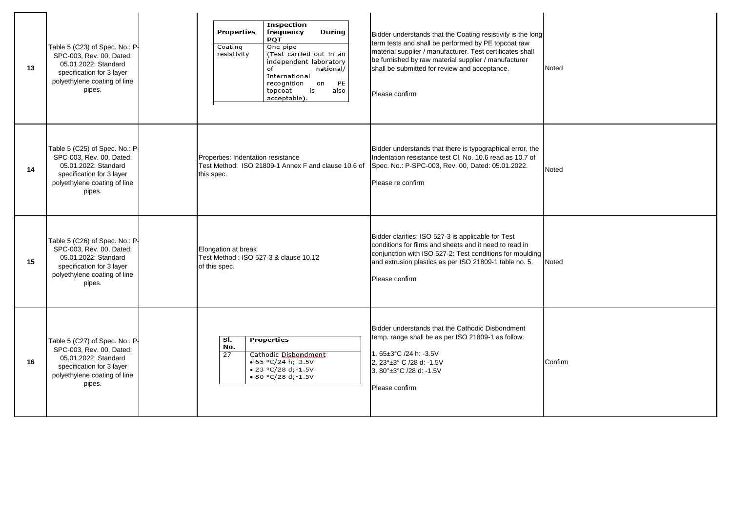| 13 | Table 5 (C23) of Spec. No.: P-<br>SPC-003, Rev. 00, Dated:<br>05.01.2022: Standard<br>specification for 3 layer<br>polyethylene coating of line<br>pipes. | <b>Inspection</b><br>frequency<br>Properties<br>During<br>PQT<br>Coating<br>One pipe<br>(Test carried out in an<br>resistivity<br>independent laboratory<br>of<br>national/<br>International<br>recognition<br>PE<br>on<br>is<br>topcoat<br>also<br>acceptable). | Bidder understands that the Coating resistivity is the long<br>term tests and shall be performed by PE topcoat raw<br>material supplier / manufacturer. Test certificates shall<br>be furnished by raw material supplier / manufacturer<br>shall be submitted for review and acceptance.<br>Please confirm | Noted   |
|----|-----------------------------------------------------------------------------------------------------------------------------------------------------------|------------------------------------------------------------------------------------------------------------------------------------------------------------------------------------------------------------------------------------------------------------------|------------------------------------------------------------------------------------------------------------------------------------------------------------------------------------------------------------------------------------------------------------------------------------------------------------|---------|
| 14 | Table 5 (C25) of Spec. No.: P-<br>SPC-003, Rev. 00, Dated:<br>05.01.2022: Standard<br>specification for 3 layer<br>polyethylene coating of line<br>pipes. | Properties: Indentation resistance<br>Test Method: ISO 21809-1 Annex F and clause 10.6 of<br>this spec.                                                                                                                                                          | Bidder understands that there is typographical error, the<br>Indentation resistance test Cl. No. 10.6 read as 10.7 of<br>Spec. No.: P-SPC-003, Rev. 00, Dated: 05.01.2022.<br>Please re confirm                                                                                                            | Noted   |
| 15 | Table 5 (C26) of Spec. No.: P-<br>SPC-003, Rev. 00, Dated:<br>05.01.2022: Standard<br>specification for 3 layer<br>polyethylene coating of line<br>pipes. | Elongation at break<br>Test Method : ISO 527-3 & clause 10.12<br>of this spec.                                                                                                                                                                                   | Bidder clarifies; ISO 527-3 is applicable for Test<br>conditions for films and sheets and it need to read in<br>conjunction with ISO 527-2: Test conditions for moulding<br>and extrusion plastics as per ISO 21809-1 table no. 5.<br>Please confirm                                                       | Noted   |
| 16 | Table 5 (C27) of Spec. No.: P-<br>SPC-003, Rev. 00, Dated:<br>05.01.2022: Standard<br>specification for 3 layer<br>polyethylene coating of line<br>pipes. | SI.<br><b>Properties</b><br>No.<br>Cathodic Disbondment<br>27<br>• 65 °C/24 h;-3.5V<br>$\bullet$ 23 °C/28 d; -1.5V<br>• 80 °C/28 d; -1.5V                                                                                                                        | Bidder understands that the Cathodic Disbondment<br>temp. range shall be as per ISO 21809-1 as follow:<br>1.65±3°C /24 h: -3.5V<br>2. 23°±3° C /28 d: -1.5V<br>3.80°±3°C /28 d: -1.5V<br>Please confirm                                                                                                    | Confirm |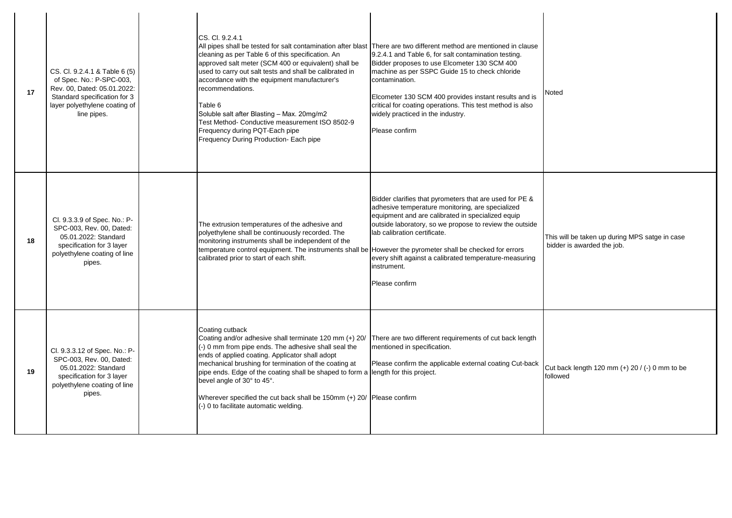| 17 | CS. Cl. 9.2.4.1 & Table 6 (5)<br>of Spec. No.: P-SPC-003,<br>Rev. 00, Dated: 05.01.2022:<br>Standard specification for 3<br>layer polyethylene coating of<br>line pipes. | CS. Cl. 9.2.4.1<br>All pipes shall be tested for salt contamination after blast There are two different method are mentioned in clause<br>cleaning as per Table 6 of this specification. An<br>approved salt meter (SCM 400 or equivalent) shall be<br>used to carry out salt tests and shall be calibrated in<br>accordance with the equipment manufacturer's<br>recommendations.<br>Table 6<br>Soluble salt after Blasting - Max. 20mg/m2<br>Test Method- Conductive measurement ISO 8502-9<br>Frequency during PQT-Each pipe<br>Frequency During Production- Each pipe | 9.2.4.1 and Table 6, for salt contamination testing.<br>Bidder proposes to use Elcometer 130 SCM 400<br>machine as per SSPC Guide 15 to check chloride<br>contamination.<br>Elcometer 130 SCM 400 provides instant results and is<br>critical for coating operations. This test method is also<br>widely practiced in the industry.<br>Please confirm  | Noted                                                                        |
|----|--------------------------------------------------------------------------------------------------------------------------------------------------------------------------|---------------------------------------------------------------------------------------------------------------------------------------------------------------------------------------------------------------------------------------------------------------------------------------------------------------------------------------------------------------------------------------------------------------------------------------------------------------------------------------------------------------------------------------------------------------------------|--------------------------------------------------------------------------------------------------------------------------------------------------------------------------------------------------------------------------------------------------------------------------------------------------------------------------------------------------------|------------------------------------------------------------------------------|
| 18 | Cl. 9.3.3.9 of Spec. No.: P-<br>SPC-003, Rev. 00, Dated:<br>05.01.2022: Standard<br>specification for 3 layer<br>polyethylene coating of line<br>pipes.                  | The extrusion temperatures of the adhesive and<br>polyethylene shall be continuously recorded. The<br>monitoring instruments shall be independent of the<br>temperature control equipment. The instruments shall be However the pyrometer shall be checked for errors<br>calibrated prior to start of each shift.                                                                                                                                                                                                                                                         | Bidder clarifies that pyrometers that are used for PE &<br>adhesive temperature monitoring, are specialized<br>equipment and are calibrated in specialized equip<br>outside laboratory, so we propose to review the outside<br>lab calibration certificate.<br>every shift against a calibrated temperature-measuring<br>instrument.<br>Please confirm | This will be taken up during MPS satge in case<br>bidder is awarded the job. |
| 19 | Cl. 9.3.3.12 of Spec. No.: P-<br>SPC-003, Rev. 00, Dated:<br>05.01.2022: Standard<br>specification for 3 layer<br>polyethylene coating of line<br>pipes.                 | Coating cutback<br>Coating and/or adhesive shall terminate 120 mm (+) 20/<br>(-) 0 mm from pipe ends. The adhesive shall seal the<br>ends of applied coating. Applicator shall adopt<br>mechanical brushing for termination of the coating at<br>pipe ends. Edge of the coating shall be shaped to form a length for this project.<br>bevel angle of 30° to 45°.<br>Wherever specified the cut back shall be 150mm (+) 20/ Please confirm<br>(-) 0 to facilitate automatic welding.                                                                                       | There are two different requirements of cut back length<br>mentioned in specification.<br>Please confirm the applicable external coating Cut-back                                                                                                                                                                                                      | Cut back length 120 mm $(+)$ 20 $/$ (-) 0 mm to be<br>followed               |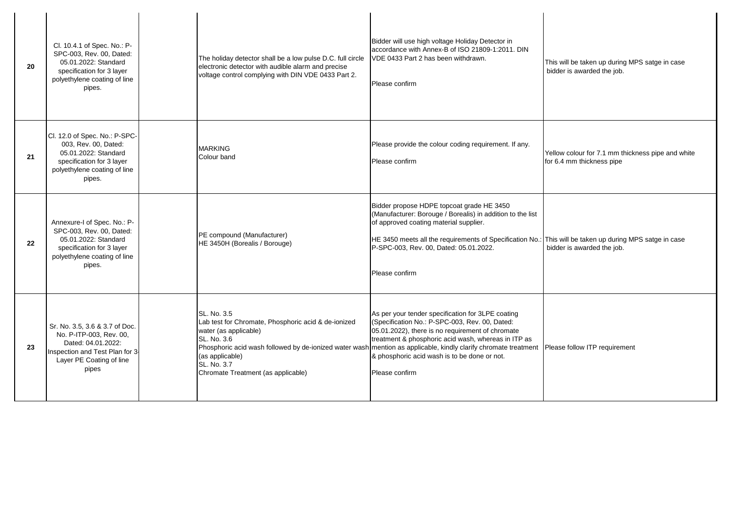| 20 | Cl. 10.4.1 of Spec. No.: P-<br>SPC-003, Rev. 00, Dated:<br>05.01.2022: Standard<br>specification for 3 layer<br>polyethylene coating of line<br>pipes.  | The holiday detector shall be a low pulse D.C. full circle<br>electronic detector with audible alarm and precise<br>voltage control complying with DIN VDE 0433 Part 2.                   | Bidder will use high voltage Holiday Detector in<br>accordance with Annex-B of ISO 21809-1:2011. DIN<br>VDE 0433 Part 2 has been withdrawn.<br>Please confirm                                                                                                                                                                                                                                                                     | This will be taken up during MPS satge in case<br>bidder is awarded the job.   |
|----|---------------------------------------------------------------------------------------------------------------------------------------------------------|-------------------------------------------------------------------------------------------------------------------------------------------------------------------------------------------|-----------------------------------------------------------------------------------------------------------------------------------------------------------------------------------------------------------------------------------------------------------------------------------------------------------------------------------------------------------------------------------------------------------------------------------|--------------------------------------------------------------------------------|
| 21 | Cl. 12.0 of Spec. No.: P-SPC-<br>003, Rev. 00, Dated:<br>05.01.2022: Standard<br>specification for 3 layer<br>polyethylene coating of line<br>pipes.    | <b>MARKING</b><br>Colour band                                                                                                                                                             | Please provide the colour coding requirement. If any.<br>Please confirm                                                                                                                                                                                                                                                                                                                                                           | Yellow colour for 7.1 mm thickness pipe and white<br>for 6.4 mm thickness pipe |
| 22 | Annexure-I of Spec. No.: P-<br>SPC-003, Rev. 00, Dated:<br>05.01.2022: Standard<br>specification for 3 layer<br>polyethylene coating of line<br>pipes.  | PE compound (Manufacturer)<br>HE 3450H (Borealis / Borouge)                                                                                                                               | Bidder propose HDPE topcoat grade HE 3450<br>(Manufacturer: Borouge / Borealis) in addition to the list<br>of approved coating material supplier.<br>HE 3450 meets all the requirements of Specification No.: This will be taken up during MPS satge in case<br>P-SPC-003, Rev. 00, Dated: 05.01.2022.<br>Please confirm                                                                                                          | bidder is awarded the job.                                                     |
| 23 | Sr. No. 3.5, 3.6 & 3.7 of Doc.<br>No. P-ITP-003, Rev. 00,<br>Dated: 04.01.2022:<br>Inspection and Test Plan for 3-<br>Layer PE Coating of line<br>pipes | <b>SL. No. 3.5</b><br>Lab test for Chromate, Phosphoric acid & de-ionized<br>water (as applicable)<br>SL. No. 3.6<br>(as applicable)<br>SL. No. 3.7<br>Chromate Treatment (as applicable) | As per your tender specification for 3LPE coating<br>(Specification No.: P-SPC-003, Rev. 00, Dated:<br>05.01.2022), there is no requirement of chromate<br>treatment & phosphoric acid wash, whereas in ITP as<br>Phosphoric acid wash followed by de-ionized water wash mention as applicable, kindly clarify chromate treatment Please follow ITP requirement<br>& phosphoric acid wash is to be done or not.<br>Please confirm |                                                                                |